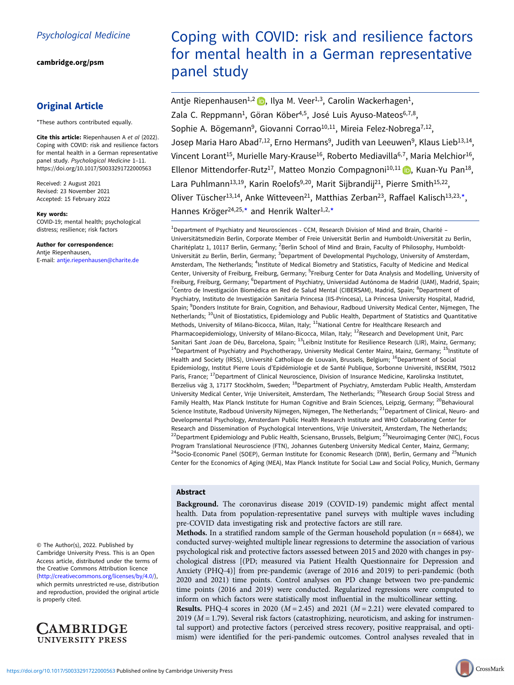[cambridge.org/psm](https://www.cambridge.org/psm)

# Original Article

\*These authors contributed equally.

Cite this article: Riepenhausen A et al (2022). Coping with COVID: risk and resilience factors for mental health in a German representative panel study. Psychological Medicine 1–11. <https://doi.org/10.1017/S0033291722000563>

Received: 2 August 2021 Revised: 23 November 2021 Accepted: 15 February 2022

#### Key words:

COVID-19; mental health; psychological distress; resilience; risk factors

# Author for correspondence:

Antje Riepenhausen, E-mail: [antje.riepenhausen@charite.de](mailto:antje.riepenhausen@charite.de)

© The Author(s), 2022. Published by Cambridge University Press. This is an Open Access article, distributed under the terms of the Creative Commons Attribution licence ([http://creativecommons.org/licenses/by/4.0/\)](http://creativecommons.org/licenses/by/4.0/), which permits unrestricted re-use, distribution and reproduction, provided the original article is properly cited.



# Coping with COVID: risk and resilience factors for mental health in a German representative panel study

Antje Riepenhausen<sup>1,2</sup>  $\bullet$ , Ilya M. Veer<sup>1,3</sup>, Carolin Wackerhagen<sup>1</sup>, Zala C. Reppmann<sup>1</sup>, Göran Köber<sup>4,5</sup>, José Luis Ayuso-Mateos<sup>6,7,8</sup>, Sophie A. Bögemann<sup>9</sup>, Giovanni Corrao<sup>10,11</sup>, Mireia Felez-Nobrega<sup>7,12</sup>, Josep Maria Haro Abad<sup>7,12</sup>, Erno Hermans<sup>9</sup>, Judith van Leeuwen<sup>9</sup>, Klaus Lieb<sup>13,14</sup>, Vincent Lorant<sup>15</sup>, Murielle Mary-Krause<sup>16</sup>, Roberto Mediavilla<sup>6,7</sup>, Maria Melchior<sup>16</sup>, Ellenor Mittendorfer-Rutz<sup>17</sup>, Matteo Monzio Compagnoni<sup>10,11</sup> (D, Kuan-Yu Pan<sup>18</sup>, Lara Puhlmann<sup>13,19</sup>, Karin Roelofs<sup>9,20</sup>, Marit Sijbrandij<sup>21</sup>, Pierre Smith<sup>15,22</sup>, Oliver Tüscher<sup>13,14</sup>, Anke Witteveen<sup>21</sup>, Matthias Zerban<sup>23</sup>, Raffael Kalisch<sup>13,23,\*</sup>, Hannes Kröger<sup>24,25,\*</sup> and Henrik Walter<sup>1,2,\*</sup>

<sup>1</sup>Department of Psychiatry and Neurosciences - CCM, Research Division of Mind and Brain, Charité -Universitätsmedizin Berlin, Corporate Member of Freie Universität Berlin and Humboldt-Universität zu Berlin, Charitéplatz 1, 10117 Berlin, Germany; <sup>2</sup>Berlin School of Mind and Brain, Faculty of Philosophy, Humboldt-Universität zu Berlin, Berlin, Germany; <sup>3</sup>Department of Developmental Psychology, University of Amsterdam, Amsterdam, The Netherlands; <sup>4</sup>Institute of Medical Biometry and Statistics, Faculty of Medicine and Medical Center, University of Freiburg, Freiburg, Germany; <sup>5</sup>Freiburg Center for Data Analysis and Modelling, University of Freiburg, Freiburg, Germany; <sup>6</sup>Department of Psychiatry, Universidad Autónoma de Madrid (UAM), Madrid, Spain; 7Centro de Investigación Biomédica en Red de Salud Mental (CIBERSAM), Madrid, Spain; <sup>8</sup>Department of Psychiatry, Instituto de Investigación Sanitaria Princesa (IIS-Princesa), La Princesa University Hospital, Madrid, Spain; <sup>9</sup>Donders Institute for Brain, Cognition, and Behaviour, Radboud University Medical Center, Nijmegen, The Netherlands; <sup>10</sup>Unit of Biostatistics, Epidemiology and Public Health, Department of Statistics and Quantitative Methods, University of Milano-Bicocca, Milan, Italy; <sup>11</sup>National Centre for Healthcare Research and Pharmacoepidemiology, University of Milano-Bicocca, Milan, Italy; <sup>12</sup>Research and Development Unit, Parc Sanitari Sant Joan de Déu, Barcelona, Spain; <sup>13</sup>Leibniz Institute for Resilience Research (LIR), Mainz, Germany; <sup>14</sup>Department of Psychiatry and Psychotherapy, University Medical Center Mainz, Mainz, Germany; <sup>15</sup>Institute of Health and Society (IRSS), Université Catholique de Louvain, Brussels, Belgium; <sup>16</sup>Department of Social Epidemiology, Institut Pierre Louis d'Epidémiologie et de Santé Publique, Sorbonne Université, INSERM, 75012 Paris, France; <sup>17</sup>Department of Clinical Neuroscience, Division of Insurance Medicine, Karolinska Institutet, Berzelius väg 3, 17177 Stockholm, Sweden; <sup>18</sup>Department of Psychiatry, Amsterdam Public Health, Amsterdam University Medical Center, Vrije Universiteit, Amsterdam, The Netherlands; <sup>19</sup>Research Group Social Stress and Family Health, Max Planck Institute for Human Cognitive and Brain Sciences, Leipzig, Germany; <sup>20</sup>Behavioural Science Institute, Radboud University Nijmegen, Nijmegen, The Netherlands; <sup>21</sup>Department of Clinical, Neuro- and Developmental Psychology, Amsterdam Public Health Research Institute and WHO Collaborating Center for Research and Dissemination of Psychological Interventions, Vrije Universiteit, Amsterdam, The Netherlands; <sup>22</sup>Department Epidemiology and Public Health, Sciensano, Brussels, Belgium; <sup>23</sup>Neuroimaging Center (NIC), Focus Program Translational Neuroscience (FTN), Johannes Gutenberg University Medical Center, Mainz, Germany; <sup>24</sup>Socio-Economic Panel (SOEP), German Institute for Economic Research (DIW), Berlin, Germany and <sup>25</sup>Munich Center for the Economics of Aging (MEA), Max Planck Institute for Social Law and Social Policy, Munich, Germany

# Abstract

Background. The coronavirus disease 2019 (COVID-19) pandemic might affect mental health. Data from population-representative panel surveys with multiple waves including pre-COVID data investigating risk and protective factors are still rare.

**Methods.** In a stratified random sample of the German household population ( $n = 6684$ ), we conducted survey-weighted multiple linear regressions to determine the association of various psychological risk and protective factors assessed between 2015 and 2020 with changes in psychological distress [(PD; measured via Patient Health Questionnaire for Depression and Anxiety (PHQ-4)] from pre-pandemic (average of 2016 and 2019) to peri-pandemic (both 2020 and 2021) time points. Control analyses on PD change between two pre-pandemic time points (2016 and 2019) were conducted. Regularized regressions were computed to inform on which factors were statistically most influential in the multicollinear setting. **Results.** PHQ-4 scores in 2020 ( $M = 2.45$ ) and 2021 ( $M = 2.21$ ) were elevated compared to 2019 ( $M = 1.79$ ). Several risk factors (catastrophizing, neuroticism, and asking for instrumental support) and protective factors (perceived stress recovery, positive reappraisal, and optimism) were identified for the peri-pandemic outcomes. Control analyses revealed that in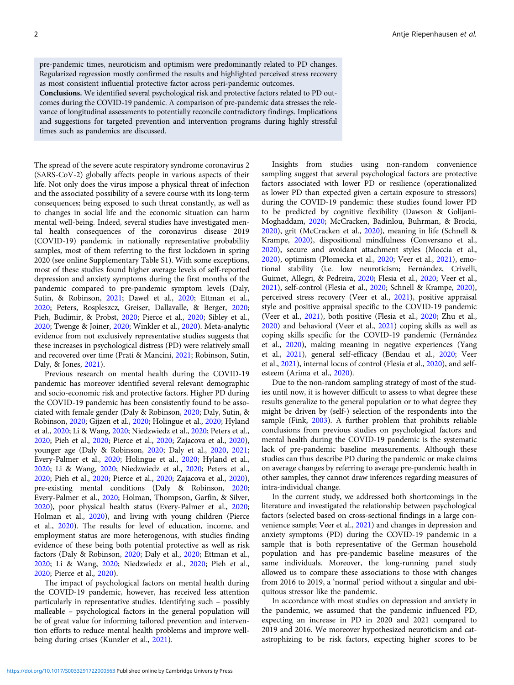pre-pandemic times, neuroticism and optimism were predominantly related to PD changes. Regularized regression mostly confirmed the results and highlighted perceived stress recovery as most consistent influential protective factor across peri-pandemic outcomes.

Conclusions. We identified several psychological risk and protective factors related to PD outcomes during the COVID-19 pandemic. A comparison of pre-pandemic data stresses the relevance of longitudinal assessments to potentially reconcile contradictory findings. Implications and suggestions for targeted prevention and intervention programs during highly stressful times such as pandemics are discussed.

The spread of the severe acute respiratory syndrome coronavirus 2 (SARS-CoV-2) globally affects people in various aspects of their life. Not only does the virus impose a physical threat of infection and the associated possibility of a severe course with its long-term consequences; being exposed to such threat constantly, as well as to changes in social life and the economic situation can harm mental well-being. Indeed, several studies have investigated mental health consequences of the coronavirus disease 2019 (COVID-19) pandemic in nationally representative probability samples, most of them referring to the first lockdown in spring 2020 (see online Supplementary Table S1). With some exceptions, most of these studies found higher average levels of self-reported depression and anxiety symptoms during the first months of the pandemic compared to pre-pandemic symptom levels (Daly, Sutin, & Robinson, [2021](#page-9-0); Dawel et al., [2020;](#page-9-0) Ettman et al., [2020;](#page-9-0) Peters, Rospleszcz, Greiser, Dallavalle, & Berger, [2020](#page-10-0); Pieh, Budimir, & Probst, [2020](#page-10-0); Pierce et al., [2020;](#page-10-0) Sibley et al., [2020;](#page-10-0) Twenge & Joiner, [2020;](#page-10-0) Winkler et al., [2020\)](#page-10-0). Meta-analytic evidence from not exclusively representative studies suggests that these increases in psychological distress (PD) were relatively small and recovered over time (Prati & Mancini, [2021;](#page-10-0) Robinson, Sutin, Daly, & Jones, [2021](#page-10-0)).

Previous research on mental health during the COVID-19 pandemic has moreover identified several relevant demographic and socio-economic risk and protective factors. Higher PD during the COVID-19 pandemic has been consistently found to be associated with female gender (Daly & Robinson, [2020](#page-9-0); Daly, Sutin, & Robinson, [2020;](#page-9-0) Gijzen et al., [2020](#page-9-0); Holingue et al., [2020](#page-9-0); Hyland et al., [2020](#page-9-0); Li & Wang, [2020](#page-9-0); Niedzwiedz et al., [2020;](#page-10-0) Peters et al., [2020;](#page-10-0) Pieh et al., [2020;](#page-10-0) Pierce et al., [2020;](#page-10-0) Zajacova et al., [2020\)](#page-10-0), younger age (Daly & Robinson, [2020](#page-9-0); Daly et al., [2020](#page-9-0), [2021](#page-9-0); Every-Palmer et al., [2020](#page-9-0); Holingue et al., [2020;](#page-9-0) Hyland et al., [2020;](#page-9-0) Li & Wang, [2020](#page-9-0); Niedzwiedz et al., [2020;](#page-10-0) Peters et al., [2020;](#page-10-0) Pieh et al., [2020;](#page-10-0) Pierce et al., [2020;](#page-10-0) Zajacova et al., [2020\)](#page-10-0), pre-existing mental conditions (Daly & Robinson, [2020](#page-9-0); Every-Palmer et al., [2020;](#page-9-0) Holman, Thompson, Garfin, & Silver, [2020\)](#page-9-0), poor physical health status (Every-Palmer et al., [2020](#page-9-0); Holman et al., [2020](#page-9-0)), and living with young children (Pierce et al., [2020](#page-10-0)). The results for level of education, income, and employment status are more heterogenous, with studies finding evidence of these being both potential protective as well as risk factors (Daly & Robinson, [2020;](#page-9-0) Daly et al., [2020](#page-9-0); Ettman et al., [2020;](#page-9-0) Li & Wang, [2020;](#page-9-0) Niedzwiedz et al., [2020](#page-10-0); Pieh et al., [2020;](#page-10-0) Pierce et al., [2020](#page-10-0)).

The impact of psychological factors on mental health during the COVID-19 pandemic, however, has received less attention particularly in representative studies. Identifying such – possibly malleable – psychological factors in the general population will be of great value for informing tailored prevention and intervention efforts to reduce mental health problems and improve wellbeing during crises (Kunzler et al., [2021\)](#page-9-0).

Insights from studies using non-random convenience sampling suggest that several psychological factors are protective factors associated with lower PD or resilience (operationalized as lower PD than expected given a certain exposure to stressors) during the COVID-19 pandemic: these studies found lower PD to be predicted by cognitive flexibility (Dawson & Golijani-Moghaddam, [2020](#page-9-0); McCracken, Badinlou, Buhrman, & Brocki, [2020\)](#page-10-0), grit (McCracken et al., [2020](#page-10-0)), meaning in life (Schnell & Krampe, [2020](#page-10-0)), dispositional mindfulness (Conversano et al., [2020\)](#page-9-0), secure and avoidant attachment styles (Moccia et al., [2020\)](#page-10-0), optimism (Płomecka et al., [2020;](#page-10-0) Veer et al., [2021](#page-10-0)), emotional stability (i.e. low neuroticism; Fernández, Crivelli, Guimet, Allegri, & Pedreira, [2020](#page-9-0); Flesia et al., [2020;](#page-9-0) Veer et al., [2021\)](#page-10-0), self-control (Flesia et al., [2020](#page-9-0); Schnell & Krampe, [2020](#page-10-0)), perceived stress recovery (Veer et al., [2021](#page-10-0)), positive appraisal style and positive appraisal specific to the COVID-19 pandemic (Veer et al., [2021](#page-10-0)), both positive (Flesia et al., [2020](#page-9-0); Zhu et al., [2020\)](#page-10-0) and behavioral (Veer et al., [2021\)](#page-10-0) coping skills as well as coping skills specific for the COVID-19 pandemic (Fernández et al., [2020\)](#page-9-0), making meaning in negative experiences (Yang et al., [2021](#page-10-0)), general self-efficacy (Bendau et al., [2020](#page-8-0); Veer et al., [2021\)](#page-10-0), internal locus of control (Flesia et al., [2020](#page-9-0)), and selfesteem (Arima et al., [2020](#page-8-0)).

Due to the non-random sampling strategy of most of the studies until now, it is however difficult to assess to what degree these results generalize to the general population or to what degree they might be driven by (self-) selection of the respondents into the sample (Fink, [2003\)](#page-9-0). A further problem that prohibits reliable conclusions from previous studies on psychological factors and mental health during the COVID-19 pandemic is the systematic lack of pre-pandemic baseline measurements. Although these studies can thus describe PD during the pandemic or make claims on average changes by referring to average pre-pandemic health in other samples, they cannot draw inferences regarding measures of intra-individual change.

In the current study, we addressed both shortcomings in the literature and investigated the relationship between psychological factors (selected based on cross-sectional findings in a large convenience sample; Veer et al., [2021\)](#page-10-0) and changes in depression and anxiety symptoms (PD) during the COVID-19 pandemic in a sample that is both representative of the German household population and has pre-pandemic baseline measures of the same individuals. Moreover, the long-running panel study allowed us to compare these associations to those with changes from 2016 to 2019, a 'normal' period without a singular and ubiquitous stressor like the pandemic.

In accordance with most studies on depression and anxiety in the pandemic, we assumed that the pandemic influenced PD, expecting an increase in PD in 2020 and 2021 compared to 2019 and 2016. We moreover hypothesized neuroticism and catastrophizing to be risk factors, expecting higher scores to be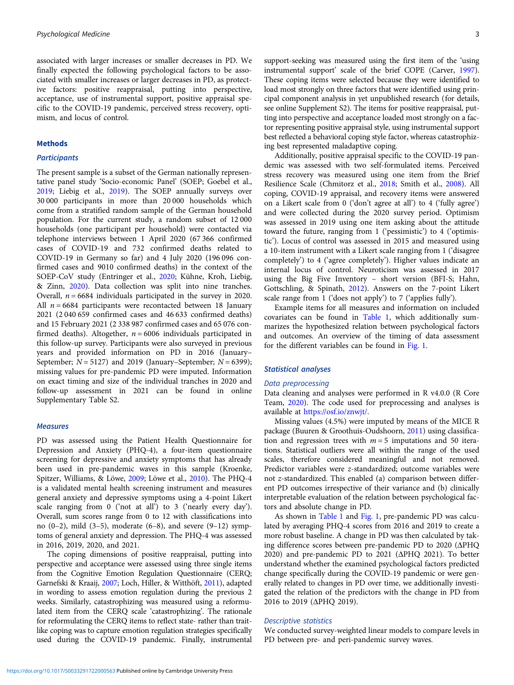associated with larger increases or smaller decreases in PD. We finally expected the following psychological factors to be associated with smaller increases or larger decreases in PD, as protective factors: positive reappraisal, putting into perspective, acceptance, use of instrumental support, positive appraisal specific to the COVID-19 pandemic, perceived stress recovery, optimism, and locus of control.

#### Methods

# **Participants**

The present sample is a subset of the German nationally representative panel study 'Socio-economic Panel' (SOEP; Goebel et al., [2019;](#page-9-0) Liebig et al., [2019\)](#page-9-0). The SOEP annually surveys over 30 000 participants in more than 20 000 households which come from a stratified random sample of the German household population. For the current study, a random subset of 12 000 households (one participant per household) were contacted via telephone interviews between 1 April 2020 (67 366 confirmed cases of COVID-19 and 732 confirmed deaths related to COVID-19 in Germany so far) and 4 July 2020 (196 096 confirmed cases and 9010 confirmed deaths) in the context of the SOEP-CoV study (Entringer et al., [2020;](#page-9-0) Kühne, Kroh, Liebig, & Zinn, [2020\)](#page-9-0). Data collection was split into nine tranches. Overall,  $n = 6684$  individuals participated in the survey in 2020. All  $n = 6684$  participants were recontacted between 18 January 2021 (2 040 659 confirmed cases and 46 633 confirmed deaths) and 15 February 2021 (2 338 987 confirmed cases and 65 076 confirmed deaths). Altogether,  $n = 6006$  individuals participated in this follow-up survey. Participants were also surveyed in previous years and provided information on PD in 2016 (January– September;  $N = 5127$ ) and 2019 (January–September;  $N = 6399$ ); missing values for pre-pandemic PD were imputed. Information on exact timing and size of the individual tranches in 2020 and follow-up assessment in 2021 can be found in online Supplementary Table S2.

# **Measures**

PD was assessed using the Patient Health Questionnaire for Depression and Anxiety (PHQ-4), a four-item questionnaire screening for depressive and anxiety symptoms that has already been used in pre-pandemic waves in this sample (Kroenke, Spitzer, Williams, & Löwe, [2009;](#page-9-0) Löwe et al., [2010\)](#page-9-0). The PHQ-4 is a validated mental health screening instrument and measures general anxiety and depressive symptoms using a 4-point Likert scale ranging from 0 ('not at all') to 3 ('nearly every day'). Overall, sum scores range from 0 to 12 with classifications into no  $(0-2)$ , mild  $(3-5)$ , moderate  $(6-8)$ , and severe  $(9-12)$  symptoms of general anxiety and depression. The PHQ-4 was assessed in 2016, 2019, 2020, and 2021.

The coping dimensions of positive reappraisal, putting into perspective and acceptance were assessed using three single items from the Cognitive Emotion Regulation Questionnaire (CERQ; Garnefski & Kraaij, [2007;](#page-9-0) Loch, Hiller, & Witthöft, [2011](#page-9-0)), adapted in wording to assess emotion regulation during the previous 2 weeks. Similarly, catastrophizing was measured using a reformulated item from the CERQ scale 'catastrophizing'. The rationale for reformulating the CERQ items to reflect state- rather than traitlike coping was to capture emotion regulation strategies specifically used during the COVID-19 pandemic. Finally, instrumental support-seeking was measured using the first item of the 'using instrumental support' scale of the brief COPE (Carver, [1997](#page-8-0)). These coping items were selected because they were identified to load most strongly on three factors that were identified using principal component analysis in yet unpublished research (for details, see online Supplement S2). The items for positive reappraisal, putting into perspective and acceptance loaded most strongly on a factor representing positive appraisal style, using instrumental support best reflected a behavioral coping style factor, whereas catastrophizing best represented maladaptive coping.

Additionally, positive appraisal specific to the COVID-19 pandemic was assessed with two self-formulated items. Perceived stress recovery was measured using one item from the Brief Resilience Scale (Chmitorz et al., [2018](#page-8-0); Smith et al., [2008\)](#page-10-0). All coping, COVID-19 appraisal, and recovery items were answered on a Likert scale from 0 ('don't agree at all') to 4 ('fully agree') and were collected during the 2020 survey period. Optimism was assessed in 2019 using one item asking about the attitude toward the future, ranging from 1 ('pessimistic') to 4 ('optimistic'). Locus of control was assessed in 2015 and measured using a 10-item instrument with a Likert scale ranging from 1 ('disagree completely') to 4 ('agree completely'). Higher values indicate an internal locus of control. Neuroticism was assessed in 2017 using the Big Five Inventory – short version (BFI-S; Hahn, Gottschling, & Spinath, [2012](#page-9-0)). Answers on the 7-point Likert scale range from 1 ('does not apply') to 7 ('applies fully').

Example items for all measures and information on included covariates can be found in [Table 1](#page-3-0), which additionally summarizes the hypothesized relation between psychological factors and outcomes. An overview of the timing of data assessment for the different variables can be found in [Fig. 1.](#page-4-0)

# Statistical analyses

# Data preprocessing

Data cleaning and analyses were performed in R v4.0.0 (R Core Team, [2020](#page-10-0)). The code used for preprocessing and analyses is available at [https://osf.io/znwjt/.](https://osf.io/znwjt/)

Missing values (4.5%) were imputed by means of the MICE R package (Buuren & Groothuis-Oudshoorn, [2011](#page-8-0)) using classification and regression trees with  $m = 5$  imputations and 50 iterations. Statistical outliers were all within the range of the used scales, therefore considered meaningful and not removed. Predictor variables were z-standardized; outcome variables were not z-standardized. This enabled (a) comparison between different PD outcomes irrespective of their variance and (b) clinically interpretable evaluation of the relation between psychological factors and absolute change in PD.

As shown in [Table 1](#page-3-0) and [Fig. 1,](#page-4-0) pre-pandemic PD was calculated by averaging PHQ-4 scores from 2016 and 2019 to create a more robust baseline. A change in PD was then calculated by taking difference scores between pre-pandemic PD to 2020 (ΔPHQ 2020) and pre-pandemic PD to 2021 (ΔPHQ 2021). To better understand whether the examined psychological factors predicted change specifically during the COVID-19 pandemic or were generally related to changes in PD over time, we additionally investigated the relation of the predictors with the change in PD from 2016 to 2019 (ΔPHQ 2019).

# Descriptive statistics

We conducted survey-weighted linear models to compare levels in PD between pre- and peri-pandemic survey waves.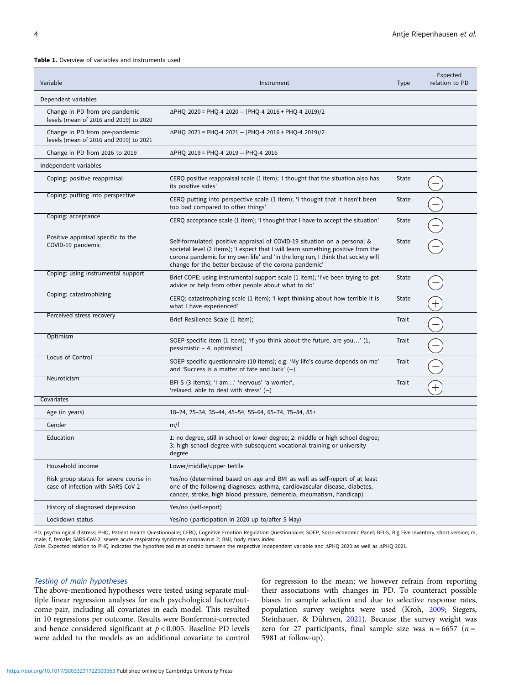#### <span id="page-3-0"></span>Table 1. Overview of variables and instruments used

| Variable                                                                    | Instrument                                                                                                                                                                                                                                                                                                  | <b>Type</b> | Expected<br>relation to PD |
|-----------------------------------------------------------------------------|-------------------------------------------------------------------------------------------------------------------------------------------------------------------------------------------------------------------------------------------------------------------------------------------------------------|-------------|----------------------------|
| Dependent variables                                                         |                                                                                                                                                                                                                                                                                                             |             |                            |
| Change in PD from pre-pandemic<br>levels (mean of 2016 and 2019) to 2020    | $\Delta$ PHQ 2020 = PHQ-4 2020 - (PHQ-4 2016 + PHQ-4 2019)/2                                                                                                                                                                                                                                                |             |                            |
| Change in PD from pre-pandemic<br>levels (mean of 2016 and 2019) to 2021    | $\Delta$ PHQ 2021 = PHQ-4 2021 - (PHQ-4 2016 + PHQ-4 2019)/2                                                                                                                                                                                                                                                |             |                            |
| Change in PD from 2016 to 2019                                              | ΔΡΗΟ 2019 = PHQ-4 2019 - PHQ-4 2016                                                                                                                                                                                                                                                                         |             |                            |
| Independent variables                                                       |                                                                                                                                                                                                                                                                                                             |             |                            |
| Coping: positive reappraisal                                                | CERQ positive reappraisal scale (1 item); 'I thought that the situation also has<br>its positive sides'                                                                                                                                                                                                     | State       |                            |
| Coping: putting into perspective                                            | CERQ putting into perspective scale (1 item); 'I thought that it hasn't been<br>too bad compared to other things'                                                                                                                                                                                           | State       |                            |
| Coping: acceptance                                                          | CERQ acceptance scale (1 item); 'I thought that I have to accept the situation'                                                                                                                                                                                                                             | State       |                            |
| Positive appraisal specific to the<br>COVID-19 pandemic                     | Self-formulated; positive appraisal of COVID-19 situation on a personal &<br>societal level (2 items); 'I expect that I will learn something positive from the<br>corona pandemic for my own life' and 'In the long run, I think that society will<br>change for the better because of the corona pandemic' | State       |                            |
| Coping: using instrumental support                                          | Brief COPE: using instrumental support scale (1 item); 'I've been trying to get<br>advice or help from other people about what to do'                                                                                                                                                                       | State       |                            |
| Coping: catastrophizing                                                     | CERQ: catastrophizing scale (1 item); 'I kept thinking about how terrible it is<br>what I have experienced'                                                                                                                                                                                                 | State       |                            |
| Perceived stress recovery                                                   | Brief Resilience Scale (1 item);                                                                                                                                                                                                                                                                            | Trait       |                            |
| Optimism                                                                    | SOEP-specific item (1 item); 'If you think about the future, are you' (1,<br>pessimistic - 4, optimistic)                                                                                                                                                                                                   | Trait       |                            |
| Locus of Control                                                            | SOEP-specific questionnaire (10 items); e.g. 'My life's course depends on me'<br>and 'Success is a matter of fate and luck' $(-)$                                                                                                                                                                           | Trait       |                            |
| Neuroticism                                                                 | BFI-S (3 items); 'I am' 'nervous' 'a worrier',<br>'relaxed, able to deal with stress' $(-)$                                                                                                                                                                                                                 | Trait       |                            |
| Covariates                                                                  |                                                                                                                                                                                                                                                                                                             |             |                            |
| Age (in years)                                                              | 18-24, 25-34, 35-44, 45-54, 55-64, 65-74, 75-84, 85+                                                                                                                                                                                                                                                        |             |                            |
| Gender                                                                      | m/f                                                                                                                                                                                                                                                                                                         |             |                            |
| Education                                                                   | 1: no degree, still in school or lower degree; 2: middle or high school degree;<br>3: high school degree with subsequent vocational training or university<br>degree                                                                                                                                        |             |                            |
| Household income                                                            | Lower/middle/upper tertile                                                                                                                                                                                                                                                                                  |             |                            |
| Risk group status for severe course in<br>case of infection with SARS-CoV-2 | Yes/no (determined based on age and BMI as well as self-report of at least<br>one of the following diagnoses: asthma, cardiovascular disease, diabetes,<br>cancer, stroke, high blood pressure, dementia, rheumatism, handicap)                                                                             |             |                            |
| History of diagnosed depression                                             | Yes/no (self-report)                                                                                                                                                                                                                                                                                        |             |                            |
| Lockdown status                                                             | Yes/no (participation in 2020 up to/after 5 May)                                                                                                                                                                                                                                                            |             |                            |

PD, psychological distress; PHO, Patient Health Questionnaire; CERQ, Cognitive Emotion Regulation Questionnaire; SOEP, Socio-economic Panel; BFI-S, Big Five Inventory, short version; m, male, f, female; SARS-CoV-2, severe acute respiratory syndrome coronavirus 2; BMI, body mass index.

Note. Expected relation to PHQ indicates the hypothesized relationship between the respective independent variable and ΔPHQ 2020 as well as ΔPHQ 2021.

# Testing of main hypotheses

The above-mentioned hypotheses were tested using separate multiple linear regression analyses for each psychological factor/outcome pair, including all covariates in each model. This resulted in 10 regressions per outcome. Results were Bonferroni-corrected and hence considered significant at  $p < 0.005$ . Baseline PD levels were added to the models as an additional covariate to control

for regression to the mean; we however refrain from reporting their associations with changes in PD. To counteract possible biases in sample selection and due to selective response rates, population survey weights were used (Kroh, [2009;](#page-9-0) Siegers, Steinhauer, & Dührsen, [2021\)](#page-10-0). Because the survey weight was zero for 27 participants, final sample size was  $n = 6657$  ( $n =$ 5981 at follow-up).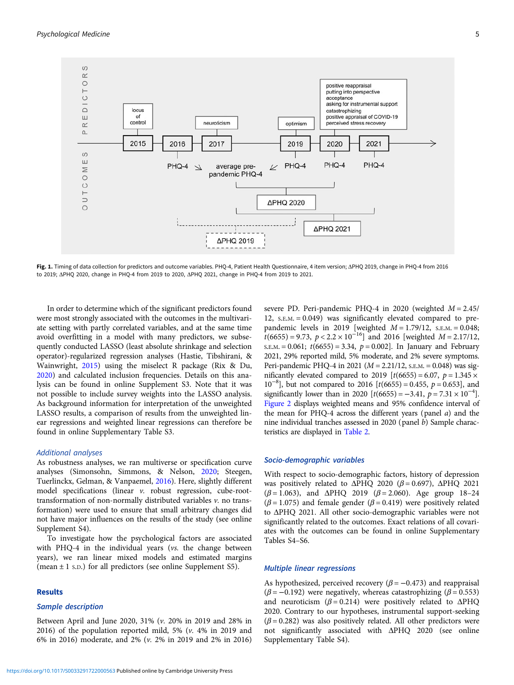<span id="page-4-0"></span>

Fig. 1. Timing of data collection for predictors and outcome variables. PHQ-4, Patient Health Questionnaire, 4 item version; ΔPHQ 2019, change in PHQ-4 from 2016 to 2019; ΔPHQ 2020, change in PHQ-4 from 2019 to 2020, ΔPHQ 2021, change in PHQ-4 from 2019 to 2021.

In order to determine which of the significant predictors found were most strongly associated with the outcomes in the multivariate setting with partly correlated variables, and at the same time avoid overfitting in a model with many predictors, we subsequently conducted LASSO (least absolute shrinkage and selection operator)-regularized regression analyses (Hastie, Tibshirani, & Wainwright, [2015](#page-9-0)) using the miselect R package (Rix & Du, [2020\)](#page-10-0) and calculated inclusion frequencies. Details on this analysis can be found in online Supplement S3. Note that it was not possible to include survey weights into the LASSO analysis. As background information for interpretation of the unweighted LASSO results, a comparison of results from the unweighted linear regressions and weighted linear regressions can therefore be found in online Supplementary Table S3.

# Additional analyses

As robustness analyses, we ran multiverse or specification curve analyses (Simonsohn, Simmons, & Nelson, [2020](#page-10-0); Steegen, Tuerlinckx, Gelman, & Vanpaemel, [2016\)](#page-10-0). Here, slightly different model specifications (linear v. robust regression, cube-roottransformation of non-normally distributed variables v. no transformation) were used to ensure that small arbitrary changes did not have major influences on the results of the study (see online Supplement S4).

To investigate how the psychological factors are associated with PHQ-4 in the individual years (vs. the change between years), we ran linear mixed models and estimated margins (mean  $\pm$  1 s.p.) for all predictors (see online Supplement S5).

# Results

#### Sample description

Between April and June 2020, 31% (v. 20% in 2019 and 28% in 2016) of the population reported mild, 5% (v. 4% in 2019 and 6% in 2016) moderate, and 2% (v. 2% in 2019 and 2% in 2016) severe PD. Peri-pandemic PHQ-4 in 2020 (weighted  $M = 2.45$ / 12, S.E.M. = 0.049) was significantly elevated compared to prepandemic levels in 2019 [weighted  $M = 1.79/12$ , S.E.M. = 0.048;  $t(6655) = 9.73$ ,  $p < 2.2 \times 10^{-16}$ ] and 2016 [weighted  $M = 2.17/12$ ,  $S.E.M. = 0.061$ ;  $t(6655) = 3.34$ ,  $p = 0.002$ ]. In January and February 2021, 29% reported mild, 5% moderate, and 2% severe symptoms. Peri-pandemic PHQ-4 in 2021 ( $M = 2.21/12$ , s.e.m. = 0.048) was significantly elevated compared to 2019  $[t(6655) = 6.07, p = 1.345 \times$  $10^{-8}$ ], but not compared to 2016 [t(6655) = 0.455,  $p = 0.653$ ], and significantly lower than in 2020  $[t(6655) = -3.41, p = 7.31 \times 10^{-4}]$ . [Figure 2](#page-5-0) displays weighted means and 95% confidence interval of the mean for PHQ-4 across the different years (panel a) and the nine individual tranches assessed in 2020 (panel b) Sample characteristics are displayed in [Table 2.](#page-6-0)

#### Socio-demographic variables

With respect to socio-demographic factors, history of depression was positively related to  $\triangle PHQ$  2020 ( $\beta = 0.697$ ),  $\triangle PHQ$  2021 ( $β = 1.063$ ), and ΔPHQ 2019 ( $β = 2.060$ ). Age group 18-24 ( $\beta$  = 1.075) and female gender ( $\beta$  = 0.419) were positively related to ΔPHQ 2021. All other socio-demographic variables were not significantly related to the outcomes. Exact relations of all covariates with the outcomes can be found in online Supplementary Tables S4–S6.

# Multiple linear regressions

As hypothesized, perceived recovery  $(\beta = -0.473)$  and reappraisal ( $\beta$  = -0.192) were negatively, whereas catastrophizing ( $\beta$  = 0.553) and neuroticism ( $β = 0.214$ ) were positively related to ΔPHQ 2020. Contrary to our hypotheses, instrumental support-seeking  $(\beta = 0.282)$  was also positively related. All other predictors were not significantly associated with ΔPHQ 2020 (see online Supplementary Table S4).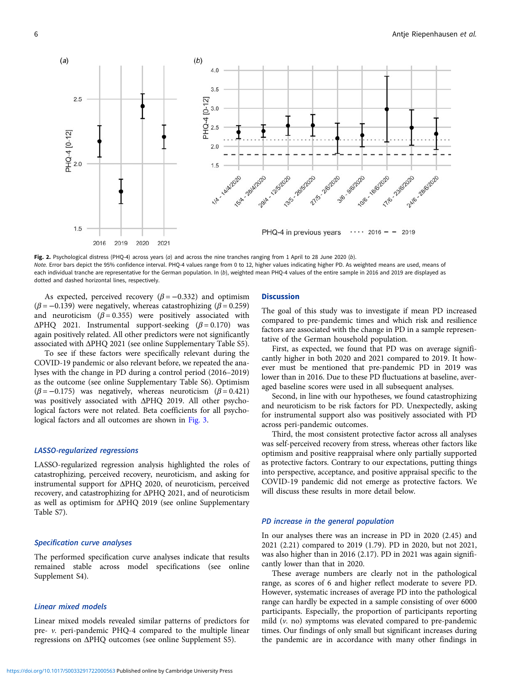<span id="page-5-0"></span>

Fig. 2. Psychological distress (PHQ-4) across years ( $a$ ) and across the nine tranches ranging from 1 April to 28 June 2020 ( $b$ ). Note. Error bars depict the 95% confidence interval. PHQ-4 values range from 0 to 12, higher values indicating higher PD. As weighted means are used, means of each individual tranche are representative for the German population. In (b), weighted mean PHQ-4 values of the entire sample in 2016 and 2019 are displayed as dotted and dashed horizontal lines, respectively.

As expected, perceived recovery  $(\beta = -0.332)$  and optimism  $(\beta = -0.139)$  were negatively, whereas catastrophizing ( $\beta = 0.259$ ) and neuroticism  $(\beta = 0.355)$  were positively associated with  $\triangle PHQ$  2021. Instrumental support-seeking ( $\beta = 0.170$ ) was again positively related. All other predictors were not significantly associated with ΔPHQ 2021 (see online Supplementary Table S5).

To see if these factors were specifically relevant during the COVID-19 pandemic or also relevant before, we repeated the analyses with the change in PD during a control period (2016–2019) as the outcome (see online Supplementary Table S6). Optimism  $(\beta = -0.175)$  was negatively, whereas neuroticism  $(\beta = 0.421)$ was positively associated with ΔPHQ 2019. All other psychological factors were not related. Beta coefficients for all psycho-logical factors and all outcomes are shown in [Fig. 3.](#page-7-0)

# LASSO-regularized regressions

LASSO-regularized regression analysis highlighted the roles of catastrophizing, perceived recovery, neuroticism, and asking for instrumental support for ΔPHQ 2020, of neuroticism, perceived recovery, and catastrophizing for ΔPHQ 2021, and of neuroticism as well as optimism for ΔPHQ 2019 (see online Supplementary Table S7).

# Specification curve analyses

The performed specification curve analyses indicate that results remained stable across model specifications (see online Supplement S4).

# Linear mixed models

Linear mixed models revealed similar patterns of predictors for pre- v. peri-pandemic PHQ-4 compared to the multiple linear regressions on ΔPHQ outcomes (see online Supplement S5).

# Discussion

The goal of this study was to investigate if mean PD increased compared to pre-pandemic times and which risk and resilience factors are associated with the change in PD in a sample representative of the German household population.

First, as expected, we found that PD was on average significantly higher in both 2020 and 2021 compared to 2019. It however must be mentioned that pre-pandemic PD in 2019 was lower than in 2016. Due to these PD fluctuations at baseline, averaged baseline scores were used in all subsequent analyses.

Second, in line with our hypotheses, we found catastrophizing and neuroticism to be risk factors for PD. Unexpectedly, asking for instrumental support also was positively associated with PD across peri-pandemic outcomes.

Third, the most consistent protective factor across all analyses was self-perceived recovery from stress, whereas other factors like optimism and positive reappraisal where only partially supported as protective factors. Contrary to our expectations, putting things into perspective, acceptance, and positive appraisal specific to the COVID-19 pandemic did not emerge as protective factors. We will discuss these results in more detail below.

# PD increase in the general population

In our analyses there was an increase in PD in 2020 (2.45) and 2021 (2.21) compared to 2019 (1.79). PD in 2020, but not 2021, was also higher than in 2016 (2.17). PD in 2021 was again significantly lower than that in 2020.

These average numbers are clearly not in the pathological range, as scores of 6 and higher reflect moderate to severe PD. However, systematic increases of average PD into the pathological range can hardly be expected in a sample consisting of over 6000 participants. Especially, the proportion of participants reporting mild (v. no) symptoms was elevated compared to pre-pandemic times. Our findings of only small but significant increases during the pandemic are in accordance with many other findings in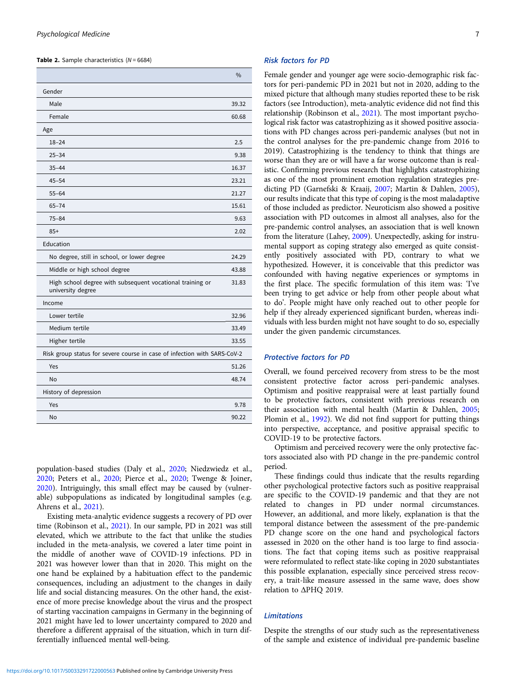<span id="page-6-0"></span>**Table 2.** Sample characteristics  $(N = 6684)$ 

|                                                                                | $\frac{0}{0}$ |
|--------------------------------------------------------------------------------|---------------|
| Gender                                                                         |               |
| Male                                                                           | 39.32         |
| Female                                                                         | 60.68         |
| Age                                                                            |               |
| $18 - 24$                                                                      | 2.5           |
| $25 - 34$                                                                      | 9.38          |
| $35 - 44$                                                                      | 16.37         |
| $45 - 54$                                                                      | 23.21         |
| $55 - 64$                                                                      | 21.27         |
| $65 - 74$                                                                      | 15.61         |
| $75 - 84$                                                                      | 9.63          |
| $85+$                                                                          | 2.02          |
| Education                                                                      |               |
| No degree, still in school, or lower degree                                    |               |
| Middle or high school degree                                                   | 43.88         |
| High school degree with subsequent vocational training or<br>university degree | 31.83         |
| Income                                                                         |               |
| Lower tertile                                                                  | 32.96         |
| Medium tertile                                                                 | 33.49         |
| Higher tertile                                                                 | 33.55         |
| Risk group status for severe course in case of infection with SARS-CoV-2       |               |
| Yes                                                                            | 51.26         |
| No                                                                             | 48.74         |
| History of depression                                                          |               |
| Yes                                                                            | 9.78          |
| No                                                                             | 90.22         |

population-based studies (Daly et al., [2020](#page-9-0); Niedzwiedz et al., [2020;](#page-10-0) Peters et al., [2020](#page-10-0); Pierce et al., [2020](#page-10-0); Twenge & Joiner, [2020\)](#page-10-0). Intriguingly, this small effect may be caused by (vulnerable) subpopulations as indicated by longitudinal samples (e.g. Ahrens et al., [2021](#page-8-0)).

Existing meta-analytic evidence suggests a recovery of PD over time (Robinson et al., [2021\)](#page-10-0). In our sample, PD in 2021 was still elevated, which we attribute to the fact that unlike the studies included in the meta-analysis, we covered a later time point in the middle of another wave of COVID-19 infections. PD in 2021 was however lower than that in 2020. This might on the one hand be explained by a habituation effect to the pandemic consequences, including an adjustment to the changes in daily life and social distancing measures. On the other hand, the existence of more precise knowledge about the virus and the prospect of starting vaccination campaigns in Germany in the beginning of 2021 might have led to lower uncertainty compared to 2020 and therefore a different appraisal of the situation, which in turn differentially influenced mental well-being.

#### Risk factors for PD

Female gender and younger age were socio-demographic risk factors for peri-pandemic PD in 2021 but not in 2020, adding to the mixed picture that although many studies reported these to be risk factors (see Introduction), meta-analytic evidence did not find this relationship (Robinson et al., [2021](#page-10-0)). The most important psychological risk factor was catastrophizing as it showed positive associations with PD changes across peri-pandemic analyses (but not in the control analyses for the pre-pandemic change from 2016 to 2019). Catastrophizing is the tendency to think that things are worse than they are or will have a far worse outcome than is realistic. Confirming previous research that highlights catastrophizing as one of the most prominent emotion regulation strategies predicting PD (Garnefski & Kraaij, [2007](#page-9-0); Martin & Dahlen, [2005](#page-10-0)), our results indicate that this type of coping is the most maladaptive of those included as predictor. Neuroticism also showed a positive association with PD outcomes in almost all analyses, also for the pre-pandemic control analyses, an association that is well known from the literature (Lahey, [2009](#page-9-0)). Unexpectedly, asking for instrumental support as coping strategy also emerged as quite consistently positively associated with PD, contrary to what we hypothesized. However, it is conceivable that this predictor was confounded with having negative experiences or symptoms in the first place. The specific formulation of this item was: 'I've been trying to get advice or help from other people about what to do'. People might have only reached out to other people for help if they already experienced significant burden, whereas individuals with less burden might not have sought to do so, especially under the given pandemic circumstances.

#### Protective factors for PD

Overall, we found perceived recovery from stress to be the most consistent protective factor across peri-pandemic analyses. Optimism and positive reappraisal were at least partially found to be protective factors, consistent with previous research on their association with mental health (Martin & Dahlen, [2005](#page-10-0); Plomin et al., [1992](#page-10-0)). We did not find support for putting things into perspective, acceptance, and positive appraisal specific to COVID-19 to be protective factors.

Optimism and perceived recovery were the only protective factors associated also with PD change in the pre-pandemic control period.

These findings could thus indicate that the results regarding other psychological protective factors such as positive reappraisal are specific to the COVID-19 pandemic and that they are not related to changes in PD under normal circumstances. However, an additional, and more likely, explanation is that the temporal distance between the assessment of the pre-pandemic PD change score on the one hand and psychological factors assessed in 2020 on the other hand is too large to find associations. The fact that coping items such as positive reappraisal were reformulated to reflect state-like coping in 2020 substantiates this possible explanation, especially since perceived stress recovery, a trait-like measure assessed in the same wave, does show relation to ΔPHQ 2019.

# Limitations

Despite the strengths of our study such as the representativeness of the sample and existence of individual pre-pandemic baseline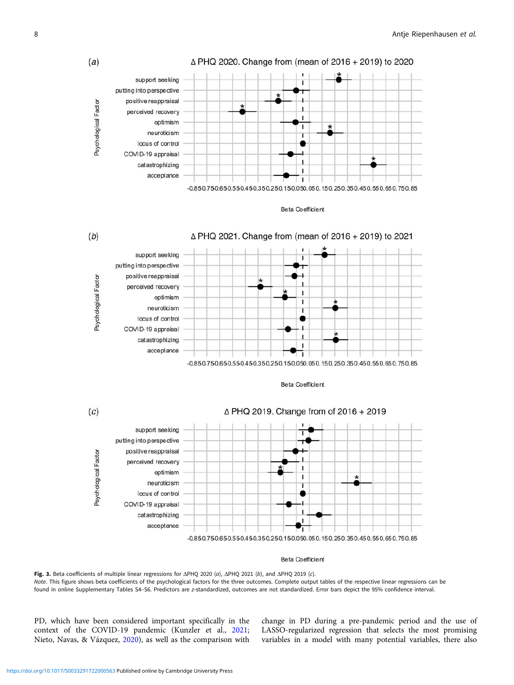<span id="page-7-0"></span>



#### **Beta Coefficient**

Fig. 3. Beta coefficients of multiple linear regressions for ΔPHQ 2020 (a), ΔPHQ 2021 (b), and ΔPHQ 2019 (c). Note. This figure shows beta coefficients of the psychological factors for the three outcomes. Complete output tables of the respective linear regressions can be found in online Supplementary Tables S4–S6. Predictors are z-standardized, outcomes are not standardized. Error bars depict the 95% confidence interval.

PD, which have been considered important specifically in the context of the COVID-19 pandemic (Kunzler et al., [2021](#page-9-0); Nieto, Navas, & Vázquez, [2020\)](#page-10-0), as well as the comparison with

change in PD during a pre-pandemic period and the use of LASSO-regularized regression that selects the most promising variables in a model with many potential variables, there also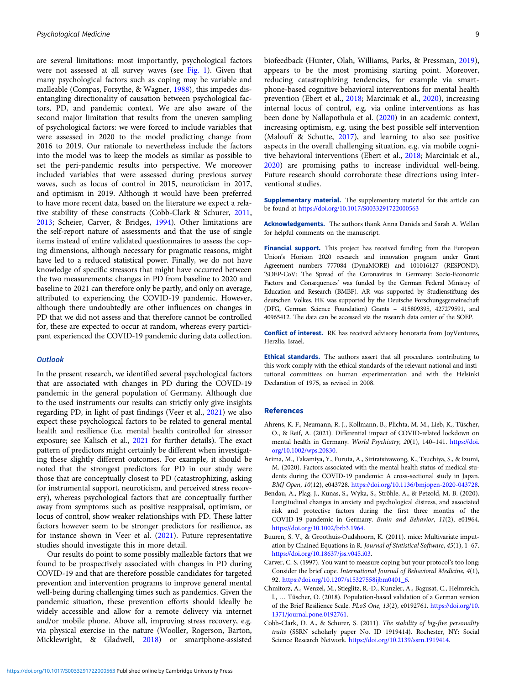<span id="page-8-0"></span>are several limitations: most importantly, psychological factors were not assessed at all survey waves (see [Fig. 1](#page-4-0)). Given that many psychological factors such as coping may be variable and malleable (Compas, Forsythe, & Wagner, [1988](#page-9-0)), this impedes disentangling directionality of causation between psychological factors, PD, and pandemic context. We are also aware of the second major limitation that results from the uneven sampling of psychological factors: we were forced to include variables that were assessed in 2020 to the model predicting change from 2016 to 2019. Our rationale to nevertheless include the factors into the model was to keep the models as similar as possible to set the peri-pandemic results into perspective. We moreover included variables that were assessed during previous survey waves, such as locus of control in 2015, neuroticism in 2017, and optimism in 2019. Although it would have been preferred to have more recent data, based on the literature we expect a relative stability of these constructs (Cobb-Clark & Schurer, 2011, [2013;](#page-9-0) Scheier, Carver, & Bridges, [1994](#page-10-0)). Other limitations are the self-report nature of assessments and that the use of single items instead of entire validated questionnaires to assess the coping dimensions, although necessary for pragmatic reasons, might have led to a reduced statistical power. Finally, we do not have knowledge of specific stressors that might have occurred between the two measurements; changes in PD from baseline to 2020 and baseline to 2021 can therefore only be partly, and only on average, attributed to experiencing the COVID-19 pandemic. However, although there undoubtedly are other influences on changes in PD that we did not assess and that therefore cannot be controlled for, these are expected to occur at random, whereas every participant experienced the COVID-19 pandemic during data collection.

# **Outlook**

In the present research, we identified several psychological factors that are associated with changes in PD during the COVID-19 pandemic in the general population of Germany. Although due to the used instruments our results can strictly only give insights regarding PD, in light of past findings (Veer et al., [2021\)](#page-10-0) we also expect these psychological factors to be related to general mental health and resilience (i.e. mental health controlled for stressor exposure; see Kalisch et al., [2021](#page-9-0) for further details). The exact pattern of predictors might certainly be different when investigating these slightly different outcomes. For example, it should be noted that the strongest predictors for PD in our study were those that are conceptually closest to PD (catastrophizing, asking for instrumental support, neuroticism, and perceived stress recovery), whereas psychological factors that are conceptually further away from symptoms such as positive reappraisal, optimism, or locus of control, show weaker relationships with PD. These latter factors however seem to be stronger predictors for resilience, as for instance shown in Veer et al. ([2021](#page-10-0)). Future representative studies should investigate this in more detail.

Our results do point to some possibly malleable factors that we found to be prospectively associated with changes in PD during COVID-19 and that are therefore possible candidates for targeted prevention and intervention programs to improve general mental well-being during challenging times such as pandemics. Given the pandemic situation, these prevention efforts should ideally be widely accessible and allow for a remote delivery via internet and/or mobile phone. Above all, improving stress recovery, e.g. via physical exercise in the nature (Wooller, Rogerson, Barton, Micklewright, & Gladwell, [2018\)](#page-10-0) or smartphone-assisted

biofeedback (Hunter, Olah, Williams, Parks, & Pressman, [2019](#page-9-0)), appears to be the most promising starting point. Moreover, reducing catastrophizing tendencies, for example via smartphone-based cognitive behavioral interventions for mental health prevention (Ebert et al., [2018](#page-9-0); Marciniak et al., [2020\)](#page-10-0), increasing internal locus of control, e.g. via online interventions as has been done by Nallapothula et al. [\(2020](#page-10-0)) in an academic context, increasing optimism, e.g. using the best possible self intervention (Malouff & Schutte, [2017\)](#page-10-0), and learning to also see positive aspects in the overall challenging situation, e.g. via mobile cognitive behavioral interventions (Ebert et al., [2018;](#page-9-0) Marciniak et al., [2020](#page-10-0)) are promising paths to increase individual well-being. Future research should corroborate these directions using interventional studies.

Supplementary material. The supplementary material for this article can be found at <https://doi.org/10.1017/S0033291722000563>

Acknowledgements. The authors thank Anna Daniels and Sarah A. Wellan for helpful comments on the manuscript.

Financial support. This project has received funding from the European Union's Horizon 2020 research and innovation program under Grant Agreement numbers 777084 (DynaMORE) and 101016127 (RESPOND). 'SOEP-CoV: The Spread of the Coronavirus in Germany: Socio-Economic Factors and Consequences' was funded by the German Federal Ministry of Education and Research (BMBF). AR was supported by Studienstiftung des deutschen Volkes. HK was supported by the Deutsche Forschungsgemeinschaft (DFG, German Science Foundation) Grants – 415809395, 427279591, and 40965412. The data can be accessed via the research data center of the SOEP.

Conflict of interest. RK has received advisory honoraria from JoyVentures, Herzlia, Israel.

Ethical standards. The authors assert that all procedures contributing to this work comply with the ethical standards of the relevant national and institutional committees on human experimentation and with the Helsinki Declaration of 1975, as revised in 2008.

#### References

- Ahrens, K. F., Neumann, R. J., Kollmann, B., Plichta, M. M., Lieb, K., Tüscher, O., & Reif, A. (2021). Differential impact of COVID-related lockdown on mental health in Germany. World Psychiatry, 20(1), 140–141. [https://doi.](https://doi.org/10.1002/wps.20830) [org/10.1002/wps.20830.](https://doi.org/10.1002/wps.20830)
- Arima, M., Takamiya, Y., Furuta, A., Siriratsivawong, K., Tsuchiya, S., & Izumi, M. (2020). Factors associated with the mental health status of medical students during the COVID-19 pandemic: A cross-sectional study in Japan. BMJ Open, 10(12), e043728. [https://doi.org/10.1136/bmjopen-2020-043728.](https://doi.org/10.1136/bmjopen-2020-043728)
- Bendau, A., Plag, J., Kunas, S., Wyka, S., Ströhle, A., & Petzold, M. B. (2020). Longitudinal changes in anxiety and psychological distress, and associated risk and protective factors during the first three months of the COVID-19 pandemic in Germany. Brain and Behavior, 11(2), e01964. <https://doi.org/10.1002/brb3.1964>.
- Buuren, S. V., & Groothuis-Oudshoorn, K. (2011). mice: Multivariate imputation by Chained Equations in R. Journal of Statistical Software, 45(1), 1–67. [https://doi.org/10.18637/jss.v045.i03.](https://doi.org/10.18637/jss.v045.i03)
- Carver, C. S. (1997). You want to measure coping but your protocol's too long: Consider the brief cope. International Journal of Behavioral Medicine, 4(1), 92. [https://doi.org/10.1207/s15327558ijbm0401\\_6.](https://doi.org/10.1207/s15327558ijbm0401_6)
- Chmitorz, A., Wenzel, M., Stieglitz, R.-D., Kunzler, A., Bagusat, C., Helmreich, I., … Tüscher, O. (2018). Population-based validation of a German version of the Brief Resilience Scale. PLoS One, 13(2), e0192761. [https://doi.org/10.](https://doi.org/10.1371/journal.pone.0192761) [1371/journal.pone.0192761.](https://doi.org/10.1371/journal.pone.0192761)
- Cobb-Clark, D. A., & Schurer, S. (2011). The stability of big-five personality traits (SSRN scholarly paper No. ID 1919414). Rochester, NY: Social Science Research Network. <https://doi.org/10.2139/ssrn.1919414>.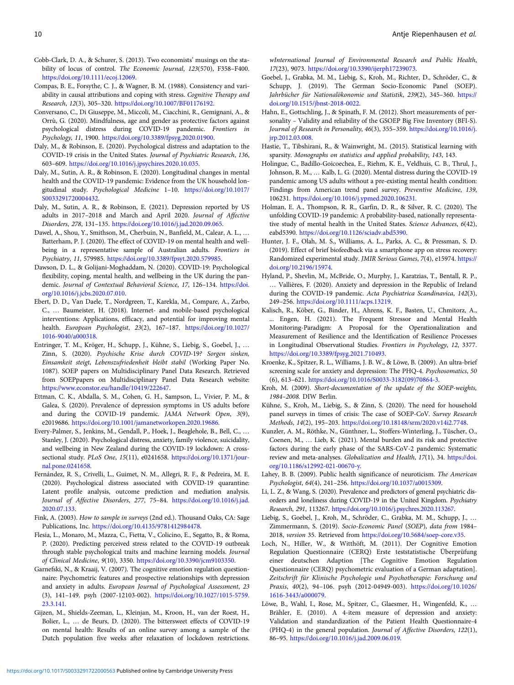- <span id="page-9-0"></span>Cobb-Clark, D. A., & Schurer, S. (2013). Two economists' musings on the stability of locus of control. The Economic Journal, 123(570), F358–F400. [https://doi.org/10.1111/ecoj.12069.](https://doi.org/10.1111/ecoj.12069)
- Compas, B. E., Forsythe, C. J., & Wagner, B. M. (1988). Consistency and variability in causal attributions and coping with stress. Cognitive Therapy and Research, 12(3), 305–320. [https://doi.org/10.1007/BF01176192.](https://doi.org/10.1007/BF01176192)
- Conversano, C., Di Giuseppe, M., Miccoli, M., Ciacchini, R., Gemignani, A., & Orrù, G. (2020). Mindfulness, age and gender as protective factors against psychological distress during COVID-19 pandemic. Frontiers in Psychology, 11, 1900. <https://doi.org/10.3389/fpsyg.2020.01900>.
- Daly, M., & Robinson, E. (2020). Psychological distress and adaptation to the COVID-19 crisis in the United States. Journal of Psychiatric Research, 136, 603–609. [https://doi.org/10.1016/j.jpsychires.2020.10.035.](https://doi.org/10.1016/j.jpsychires.2020.10.035)
- Daly, M., Sutin, A. R., & Robinson, E. (2020). Longitudinal changes in mental health and the COVID-19 pandemic: Evidence from the UK household longitudinal study. Psychological Medicine 1–10. [https://doi.org/10.1017/](https://doi.org/10.1017/S0033291720004432) [S0033291720004432.](https://doi.org/10.1017/S0033291720004432)
- Daly, M., Sutin, A. R., & Robinson, E. (2021). Depression reported by US adults in 2017–2018 and March and April 2020. Journal of Affective Disorders, 278, 131–135. <https://doi.org/10.1016/j.jad.2020.09.065>.
- Dawel, A., Shou, Y., Smithson, M., Cherbuin, N., Banfield, M., Calear, A. L., … Batterham, P. J. (2020). The effect of COVID-19 on mental health and wellbeing in a representative sample of Australian adults. Frontiers in Psychiatry, 11, 579985. [https://doi.org/10.3389/fpsyt.2020.579985.](https://doi.org/10.3389/fpsyt.2020.579985)
- Dawson, D. L., & Golijani-Moghaddam, N. (2020). COVID-19: Psychological flexibility, coping, mental health, and wellbeing in the UK during the pandemic. Journal of Contextual Behavioral Science, 17, 126–134. [https://doi.](https://doi.org/10.1016/j.jcbs.2020.07.010) [org/10.1016/j.jcbs.2020.07.010.](https://doi.org/10.1016/j.jcbs.2020.07.010)
- Ebert, D. D., Van Daele, T., Nordgreen, T., Karekla, M., Compare, A., Zarbo, C., … Baumeister, H. (2018). Internet- and mobile-based psychological interventions: Applications, efficacy, and potential for improving mental health. European Psychologist, 23(2), 167–187. [https://doi.org/10.1027/](https://doi.org/10.1027/1016-9040/a000318) [1016-9040/a000318](https://doi.org/10.1027/1016-9040/a000318).
- Entringer, T. M., Kröger, H., Schupp, J., Kühne, S., Liebig, S., Goebel, J., … Zinn, S. (2020). Psychische Krise durch COVID-19? Sorgen sinken, Einsamkeit steigt, Lebenszufriedenheit bleibt stabil (Working Paper No. 1087). SOEP papers on Multidisciplinary Panel Data Research. Retrieved from SOEPpapers on Multidisciplinary Panel Data Research website: <https://www.econstor.eu/handle/10419/222647>.
- Ettman, C. K., Abdalla, S. M., Cohen, G. H., Sampson, L., Vivier, P. M., & Galea, S. (2020). Prevalence of depression symptoms in US adults before and during the COVID-19 pandemic. JAMA Network Open, 3(9), e2019686. [https://doi.org/10.1001/jamanetworkopen.2020.19686.](https://doi.org/10.1001/jamanetworkopen.2020.19686)
- Every-Palmer, S., Jenkins, M., Gendall, P., Hoek, J., Beaglehole, B., Bell, C., … Stanley, J. (2020). Psychological distress, anxiety, family violence, suicidality, and wellbeing in New Zealand during the COVID-19 lockdown: A crosssectional study. PLoS One, 15(11), e0241658. [https://doi.org/10.1371/jour](https://doi.org/10.1371/journal.pone.0241658)[nal.pone.0241658](https://doi.org/10.1371/journal.pone.0241658).
- Fernández, R. S., Crivelli, L., Guimet, N. M., Allegri, R. F., & Pedreira, M. E. (2020). Psychological distress associated with COVID-19 quarantine: Latent profile analysis, outcome prediction and mediation analysis. Journal of Affective Disorders, 277, 75–84. [https://doi.org/10.1016/j.jad.](https://doi.org/10.1016/j.jad.2020.07.133) [2020.07.133.](https://doi.org/10.1016/j.jad.2020.07.133)
- Fink, A. (2003). How to sample in surveys (2nd ed.). Thousand Oaks, CA: Sage Publications, Inc. [https://doi.org/10.4135/9781412984478.](https://doi.org/10.4135/9781412984478)
- Flesia, L., Monaro, M., Mazza, C., Fietta, V., Colicino, E., Segatto, B., & Roma, P. (2020). Predicting perceived stress related to the COVID-19 outbreak through stable psychological traits and machine learning models. Journal of Clinical Medicine, 9(10), 3350. <https://doi.org/10.3390/jcm9103350>.
- Garnefski, N., & Kraaij, V. (2007). The cognitive emotion regulation questionnaire: Psychometric features and prospective relationships with depression and anxiety in adults. European Journal of Psychological Assessment, 23 (3), 141–149. psyh (2007-12103-002). [https://doi.org/10.1027/1015-5759.](https://doi.org/10.1027/1015-5759.23.3.141) [23.3.141](https://doi.org/10.1027/1015-5759.23.3.141).
- Gijzen, M., Shields-Zeeman, L., Kleinjan, M., Kroon, H., van der Roest, H., Bolier, L., … de Beurs, D. (2020). The bittersweet effects of COVID-19 on mental health: Results of an online survey among a sample of the Dutch population five weeks after relaxation of lockdown restrictions.

wInternational Journal of Environmental Research and Public Health, 17(23), 9073. [https://doi.org/10.3390/ijerph17239073.](https://doi.org/10.3390/ijerph17239073)

- Goebel, J., Grabka, M. M., Liebig, S., Kroh, M., Richter, D., Schröder, C., & Schupp, J. (2019). The German Socio-Economic Panel (SOEP). Jahrbücher für Nationalökonomie und Statistik, 239(2), 345-360. [https://](https://doi.org/10.1515/jbnst-2018-0022) [doi.org/10.1515/jbnst-2018-0022](https://doi.org/10.1515/jbnst-2018-0022).
- Hahn, E., Gottschling, J., & Spinath, F. M. (2012). Short measurements of personality – Validity and reliability of the GSOEP Big Five Inventory (BFI-S). Journal of Research in Personality, 46(3), 355–359. [https://doi.org/10.1016/j.](https://doi.org/10.1016/j.jrp.2012.03.008) [jrp.2012.03.008.](https://doi.org/10.1016/j.jrp.2012.03.008)
- Hastie, T., Tibshirani, R., & Wainwright, M.. (2015). Statistical learning with sparsity. Monographs on statistics and applied probability, 143, 143.
- Holingue, C., Badillo-Goicoechea, E., Riehm, K. E., Veldhuis, C. B., Thrul, J., Johnson, R. M., … Kalb, L. G. (2020). Mental distress during the COVID-19 pandemic among US adults without a pre-existing mental health condition: Findings from American trend panel survey. Preventive Medicine, 139, 106231. <https://doi.org/10.1016/j.ypmed.2020.106231>.
- Holman, E. A., Thompson, R. R., Garfin, D. R., & Silver, R. C. (2020). The unfolding COVID-19 pandemic: A probability-based, nationally representative study of mental health in the United States. Science Advances, 6(42), eabd5390. [https://doi.org/10.1126/sciadv.abd5390.](https://doi.org/10.1126/sciadv.abd5390)
- Hunter, J. F., Olah, M. S., Williams, A. L., Parks, A. C., & Pressman, S. D. (2019). Effect of brief biofeedback via a smartphone app on stress recovery: Randomized experimental study. JMIR Serious Games, 7(4), e15974. [https://](https://doi.org/10.2196/15974) [doi.org/10.2196/15974.](https://doi.org/10.2196/15974)
- Hyland, P., Shevlin, M., McBride, O., Murphy, J., Karatzias, T., Bentall, R. P., … Vallières, F. (2020). Anxiety and depression in the Republic of Ireland during the COVID-19 pandemic. Acta Psychiatrica Scandinavica, 142(3), 249–256. [https://doi.org/10.1111/acps.13219.](https://doi.org/10.1111/acps.13219)
- Kalisch, R., Köber, G., Binder, H., Ahrens, K. F., Basten, U., Chmitorz, A., ... Engen, H. (2021). The Frequent Stressor and Mental Health Monitoring-Paradigm: A Proposal for the Operationalization and Measurement of Resilience and the Identification of Resilience Processes in Longitudinal Observational Studies. Frontiers in Psychology, 12, 3377. [https://doi.org/10.3389/fpsyg.2021.710493.](https://doi.org/10.3389/fpsyg.2021.710493)
- Kroenke, K., Spitzer, R. L., Williams, J. B. W., & Löwe, B. (2009). An ultra-brief screening scale for anxiety and depression: The PHQ-4. Psychosomatics, 50 (6), 613–621. [https://doi.org/10.1016/S0033-3182\(09\)70864-3.](https://doi.org/10.1016/S0033-3182(09)70864-3)
- Kroh, M. (2009). Short-documentation of the update of the SOEP-weights, 1984–2008. DIW Berlin.
- Kühne, S., Kroh, M., Liebig, S., & Zinn, S. (2020). The need for household panel surveys in times of crisis: The case of SOEP-CoV. Survey Research Methods, 14(2), 195–203. [https://doi.org/10.18148/srm/2020.v14i2.7748.](https://doi.org/10.18148/srm/2020.v14i2.7748)
- Kunzler, A. M., Röthke, N., Günthner, L., Stoffers-Winterling, J., Tüscher, O., Coenen, M., … Lieb, K. (2021). Mental burden and its risk and protective factors during the early phase of the SARS-CoV-2 pandemic: Systematic review and meta-analyses. Globalization and Health, 17(1), 34. [https://doi.](https://doi.org/10.1186/s12992-021-00670-y) [org/10.1186/s12992-021-00670-y](https://doi.org/10.1186/s12992-021-00670-y).
- Lahey, B. B. (2009). Public health significance of neuroticism. The American Psychologist, 64(4), 241–256. <https://doi.org/10.1037/a0015309>.
- Li, L. Z., & Wang, S. (2020). Prevalence and predictors of general psychiatric disorders and loneliness during COVID-19 in the United Kingdom. Psychiatry Research, 291, 113267. <https://doi.org/10.1016/j.psychres.2020.113267>.
- Liebig, S., Goebel, J., Kroh, M., Schröder, C., Grabka, M. M., Schupp, J., … Zimmermann, S. (2019). Socio-Economic Panel (SOEP), data from 1984– 2018, version 35. Retrieved from [https://doi.org/10.5684/soep-core.v35.](https://doi.org/10.5684/soep-core.v35)
- Loch, N., Hiller, W., & Witthöft, M. (2011). Der Cognitive Emotion Regulation Questionnaire (CERQ) Erste teststatistische Überprüfung einer deutschen Adaption [The Cognitive Emotion Regulation Questionnaire (CERQ) psychometric evaluation of a German adaptation]. Zeitschrift für Klinische Psychologie und Psychotherapie: Forschung und Praxis, 40(2), 94–106. psyh (2012-04949-003). [https://doi.org/10.1026/](https://doi.org/10.1026/1616-3443/a000079) [1616-3443/a000079](https://doi.org/10.1026/1616-3443/a000079).
- Löwe, B., Wahl, I., Rose, M., Spitzer, C., Glaesmer, H., Wingenfeld, K., … Brähler, E. (2010). A 4-item measure of depression and anxiety: Validation and standardization of the Patient Health Questionnaire-4 (PHQ-4) in the general population. Journal of Affective Disorders, 122(1), 86–95. [https://doi.org/10.1016/j.jad.2009.06.019.](https://doi.org/10.1016/j.jad.2009.06.019)